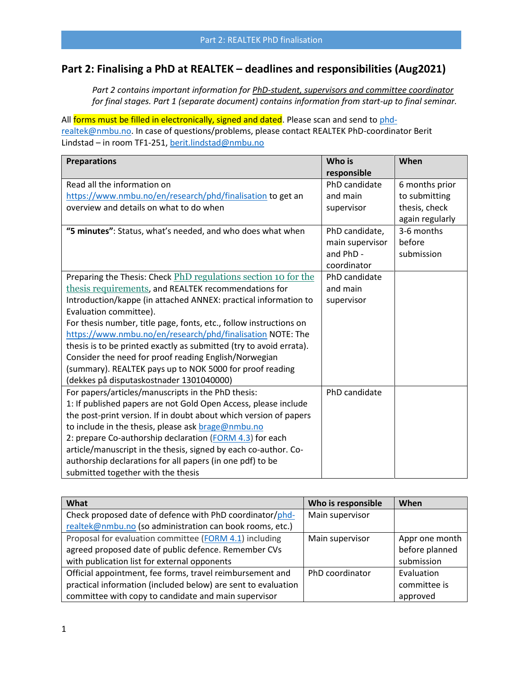# **Part 2: Finalising a PhD at REALTEK – deadlines and responsibilities (Aug2021)**

*Part 2 contains important information for PhD-student, supervisors and committee coordinator for final stages. Part 1 (separate document) contains information from start-up to final seminar.*

All forms must be filled in electronically, signed and dated. Please scan and send t[o phd](mailto:phd-realtek@nmbu.no)[realtek@nmbu.no.](mailto:phd-realtek@nmbu.no) In case of questions/problems, please contact REALTEK PhD-coordinator Berit Lindstad – in room TF1-251, [berit.lindstad@nmbu.no](mailto:berit.lindstad@nmbu.no)

| <b>Preparations</b>                                                 | Who is          | When            |
|---------------------------------------------------------------------|-----------------|-----------------|
|                                                                     | responsible     |                 |
| Read all the information on                                         | PhD candidate   | 6 months prior  |
| https://www.nmbu.no/en/research/phd/finalisation to get an          | and main        | to submitting   |
| overview and details on what to do when                             | supervisor      | thesis, check   |
|                                                                     |                 | again regularly |
| "5 minutes": Status, what's needed, and who does what when          | PhD candidate,  | 3-6 months      |
|                                                                     | main supervisor | before          |
|                                                                     | and PhD -       | submission      |
|                                                                     | coordinator     |                 |
| Preparing the Thesis: Check PhD regulations section 10 for the      | PhD candidate   |                 |
| thesis requirements, and REALTEK recommendations for                | and main        |                 |
| Introduction/kappe (in attached ANNEX: practical information to     | supervisor      |                 |
| Evaluation committee).                                              |                 |                 |
| For thesis number, title page, fonts, etc., follow instructions on  |                 |                 |
| https://www.nmbu.no/en/research/phd/finalisation NOTE: The          |                 |                 |
| thesis is to be printed exactly as submitted (try to avoid errata). |                 |                 |
| Consider the need for proof reading English/Norwegian               |                 |                 |
| (summary). REALTEK pays up to NOK 5000 for proof reading            |                 |                 |
| (dekkes på disputaskostnader 1301040000)                            |                 |                 |
| For papers/articles/manuscripts in the PhD thesis:                  | PhD candidate   |                 |
| 1: If published papers are not Gold Open Access, please include     |                 |                 |
| the post-print version. If in doubt about which version of papers   |                 |                 |
| to include in the thesis, please ask brage@nmbu.no                  |                 |                 |
| 2: prepare Co-authorship declaration (FORM 4.3) for each            |                 |                 |
| article/manuscript in the thesis, signed by each co-author. Co-     |                 |                 |
| authorship declarations for all papers (in one pdf) to be           |                 |                 |
| submitted together with the thesis                                  |                 |                 |

| What                                                          | Who is responsible | When           |
|---------------------------------------------------------------|--------------------|----------------|
| Check proposed date of defence with PhD coordinator/phd-      | Main supervisor    |                |
| realtek@nmbu.no (so administration can book rooms, etc.)      |                    |                |
| Proposal for evaluation committee (FORM 4.1) including        | Main supervisor    | Appr one month |
| agreed proposed date of public defence. Remember CVs          |                    | before planned |
| with publication list for external opponents                  |                    | submission     |
| Official appointment, fee forms, travel reimbursement and     | PhD coordinator    | Evaluation     |
| practical information (included below) are sent to evaluation |                    | committee is   |
| committee with copy to candidate and main supervisor          |                    | approved       |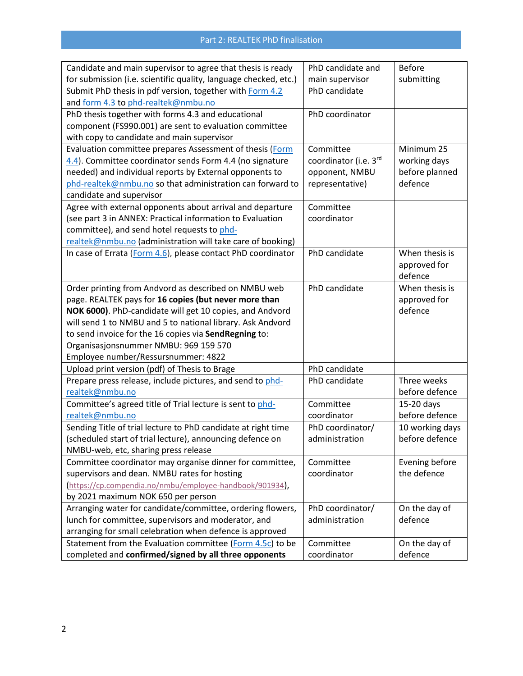| Candidate and main supervisor to agree that thesis is ready      | PhD candidate and     | <b>Before</b>   |
|------------------------------------------------------------------|-----------------------|-----------------|
| for submission (i.e. scientific quality, language checked, etc.) | main supervisor       | submitting      |
| Submit PhD thesis in pdf version, together with Form 4.2         | PhD candidate         |                 |
| and form 4.3 to phd-realtek@nmbu.no                              |                       |                 |
| PhD thesis together with forms 4.3 and educational               | PhD coordinator       |                 |
| component (FS990.001) are sent to evaluation committee           |                       |                 |
| with copy to candidate and main supervisor                       |                       |                 |
| Evaluation committee prepares Assessment of thesis (Form         | Committee             | Minimum 25      |
| 4.4). Committee coordinator sends Form 4.4 (no signature         | coordinator (i.e. 3rd | working days    |
| needed) and individual reports by External opponents to          | opponent, NMBU        | before planned  |
| phd-realtek@nmbu.no so that administration can forward to        | representative)       | defence         |
| candidate and supervisor                                         |                       |                 |
| Agree with external opponents about arrival and departure        | Committee             |                 |
| (see part 3 in ANNEX: Practical information to Evaluation        | coordinator           |                 |
| committee), and send hotel requests to phd-                      |                       |                 |
| realtek@nmbu.no (administration will take care of booking)       |                       |                 |
| In case of Errata (Form 4.6), please contact PhD coordinator     | PhD candidate         | When thesis is  |
|                                                                  |                       | approved for    |
|                                                                  |                       | defence         |
| Order printing from Andvord as described on NMBU web             | PhD candidate         | When thesis is  |
| page. REALTEK pays for 16 copies (but never more than            |                       | approved for    |
| NOK 6000). PhD-candidate will get 10 copies, and Andvord         |                       | defence         |
| will send 1 to NMBU and 5 to national library. Ask Andvord       |                       |                 |
| to send invoice for the 16 copies via SendRegning to:            |                       |                 |
| Organisasjonsnummer NMBU: 969 159 570                            |                       |                 |
| Employee number/Ressursnummer: 4822                              |                       |                 |
| Upload print version (pdf) of Thesis to Brage                    | PhD candidate         |                 |
| Prepare press release, include pictures, and send to phd-        | PhD candidate         | Three weeks     |
| realtek@nmbu.no                                                  |                       | before defence  |
| Committee's agreed title of Trial lecture is sent to phd-        | Committee             | 15-20 days      |
| realtek@nmbu.no                                                  | coordinator           | before defence  |
| Sending Title of trial lecture to PhD candidate at right time    | PhD coordinator/      | 10 working days |
| (scheduled start of trial lecture), announcing defence on        | administration        | before defence  |
| NMBU-web, etc, sharing press release                             |                       |                 |
| Committee coordinator may organise dinner for committee,         | Committee             | Evening before  |
| supervisors and dean. NMBU rates for hosting                     | coordinator           | the defence     |
| https://cp.compendia.no/nmbu/employee-handbook/901934),          |                       |                 |
| by 2021 maximum NOK 650 per person                               |                       |                 |
| Arranging water for candidate/committee, ordering flowers,       | PhD coordinator/      | On the day of   |
| lunch for committee, supervisors and moderator, and              | administration        | defence         |
| arranging for small celebration when defence is approved         |                       |                 |
| Statement from the Evaluation committee (Form 4.5c) to be        | Committee             | On the day of   |
| completed and confirmed/signed by all three opponents            | coordinator           | defence         |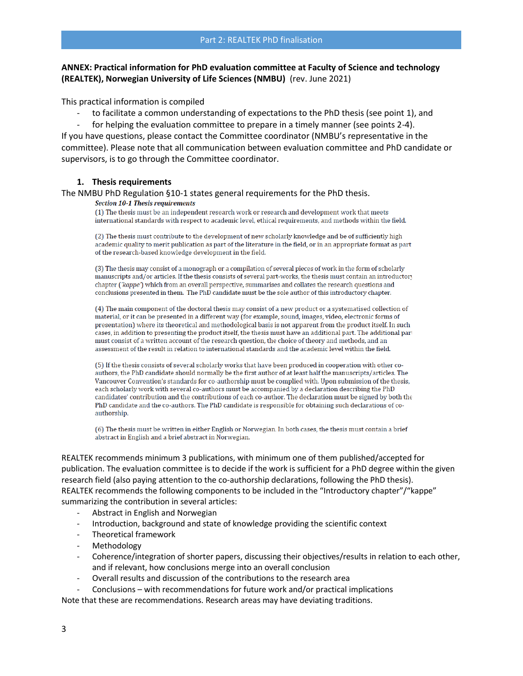### **ANNEX: Practical information for PhD evaluation committee at Faculty of Science and technology (REALTEK), Norwegian University of Life Sciences (NMBU)** (rev. June 2021)

This practical information is compiled

to facilitate a common understanding of expectations to the PhD thesis (see point 1), and

for helping the evaluation committee to prepare in a timely manner (see points 2-4). If you have questions, please contact the Committee coordinator (NMBU's representative in the committee). Please note that all communication between evaluation committee and PhD candidate or supervisors, is to go through the Committee coordinator.

#### **1. Thesis requirements**

The NMBU PhD Regulation §10-1 states general requirements for the PhD thesis.<br>Section 10-1 Thesis requirements

(1) The thesis must be an independent research work or research and development work that meets international standards with respect to academic level, ethical requirements, and methods within the field.

(2) The thesis must contribute to the development of new scholarly knowledge and be of sufficiently high academic quality to merit publication as part of the literature in the field, or in an appropriate format as part of the research-based knowledge development in the field.

(3) The thesis may consist of a monograph or a compilation of several pieces of work in the form of scholarly manuscripts and/or articles. If the thesis consists of several part-works, the thesis must contain an introductory chapter ('kappe') which from an overall perspective, summarises and collates the research questions and conclusions presented in them. The PhD candidate must be the sole author of this introductory chapter.

(4) The main component of the doctoral thesis may consist of a new product or a systematised collection of material, or it can be presented in a different way (for example, sound, images, video, electronic forms of presentation) where its theoretical and methodological basis is not apparent from the product itself. In such cases, in addition to presenting the product itself, the thesis must have an additional part. The additional part must consist of a written account of the research question, the choice of theory and methods, and an assessment of the result in relation to international standards and the academic level within the field.

(5) If the thesis consists of several scholarly works that have been produced in cooperation with other coauthors, the PhD candidate should normally be the first author of at least half the manuscripts/articles. The Vancouver Convention's standards for co-authorship must be complied with. Upon submission of the thesis, each scholarly work with several co-authors must be accompanied by a declaration describing the PhD candidates' contribution and the contributions of each co-author. The declaration must be signed by both the PhD candidate and the co-authors. The PhD candidate is responsible for obtaining such declarations of coauthorship.

(6) The thesis must be written in either English or Norwegian. In both cases, the thesis must contain a brief abstract in English and a brief abstract in Norwegian.

REALTEK recommends minimum 3 publications, with minimum one of them published/accepted for publication. The evaluation committee is to decide if the work is sufficient for a PhD degree within the given research field (also paying attention to the co-authorship declarations, following the PhD thesis). REALTEK recommends the following components to be included in the "Introductory chapter"/"kappe" summarizing the contribution in several articles:

- Abstract in English and Norwegian
- Introduction, background and state of knowledge providing the scientific context
- Theoretical framework
- **Methodology**
- Coherence/integration of shorter papers, discussing their objectives/results in relation to each other, and if relevant, how conclusions merge into an overall conclusion
- Overall results and discussion of the contributions to the research area
- Conclusions with recommendations for future work and/or practical implications

Note that these are recommendations. Research areas may have deviating traditions.